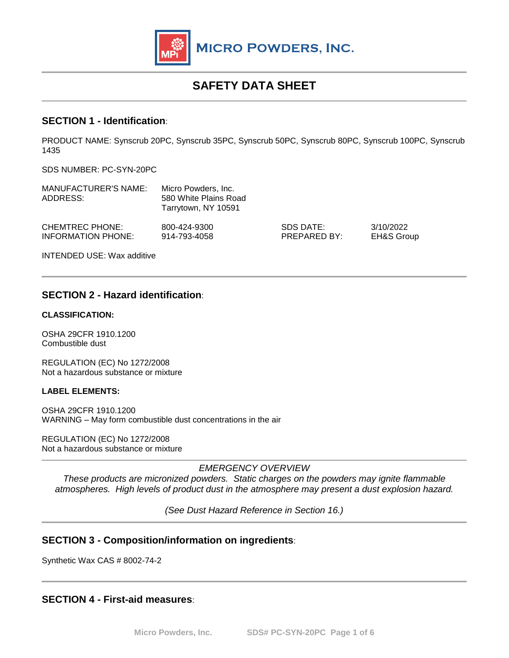

# **SAFETY DATA SHEET**

### **SECTION 1 - Identification**:

PRODUCT NAME: Synscrub 20PC, Synscrub 35PC, Synscrub 50PC, Synscrub 80PC, Synscrub 100PC, Synscrub 1435

SDS NUMBER: PC-SYN-20PC

| <b>MANUFACTURER'S NAME:</b><br>ADDRESS:      | Micro Powders, Inc.<br>580 White Plains Road<br>Tarrytown, NY 10591 |                           |                                    |
|----------------------------------------------|---------------------------------------------------------------------|---------------------------|------------------------------------|
| <b>CHEMTREC PHONE:</b><br>INFORMATION PHONE: | 800-424-9300<br>914-793-4058                                        | SDS DATE:<br>PREPARED BY: | 3/10/2022<br><b>EH&amp;S Group</b> |
| <b>INTENDED USE: Wax additive</b>            |                                                                     |                           |                                    |

### **SECTION 2 - Hazard identification**:

#### **CLASSIFICATION:**

OSHA 29CFR 1910.1200 Combustible dust

REGULATION (EC) No 1272/2008 Not a hazardous substance or mixture

#### **LABEL ELEMENTS:**

OSHA 29CFR 1910.1200 WARNING – May form combustible dust concentrations in the air

REGULATION (EC) No 1272/2008 Not a hazardous substance or mixture

*EMERGENCY OVERVIEW*

*These products are micronized powders. Static charges on the powders may ignite flammable atmospheres. High levels of product dust in the atmosphere may present a dust explosion hazard.*

*(See Dust Hazard Reference in Section 16.)* 

### **SECTION 3 - Composition/information on ingredients**:

Synthetic Wax CAS # 8002-74-2

### **SECTION 4 - First-aid measures**: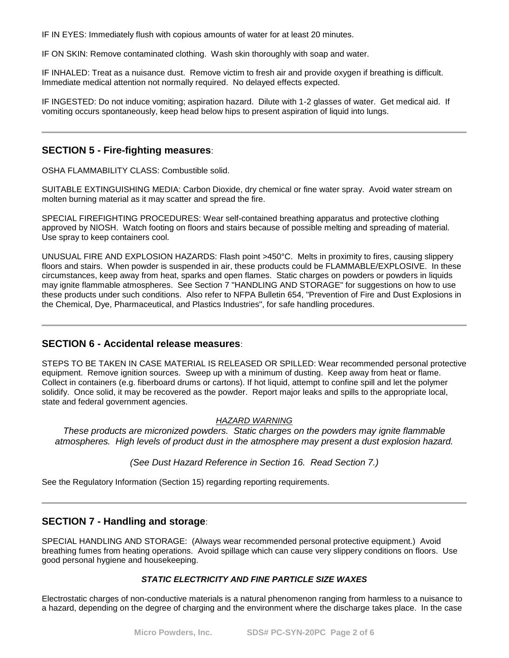IF IN EYES: Immediately flush with copious amounts of water for at least 20 minutes.

IF ON SKIN: Remove contaminated clothing. Wash skin thoroughly with soap and water.

IF INHALED: Treat as a nuisance dust. Remove victim to fresh air and provide oxygen if breathing is difficult. Immediate medical attention not normally required. No delayed effects expected.

IF INGESTED: Do not induce vomiting; aspiration hazard. Dilute with 1-2 glasses of water. Get medical aid. If vomiting occurs spontaneously, keep head below hips to present aspiration of liquid into lungs.

### **SECTION 5 - Fire-fighting measures**:

OSHA FLAMMABILITY CLASS: Combustible solid.

SUITABLE EXTINGUISHING MEDIA: Carbon Dioxide, dry chemical or fine water spray. Avoid water stream on molten burning material as it may scatter and spread the fire.

SPECIAL FIREFIGHTING PROCEDURES: Wear self-contained breathing apparatus and protective clothing approved by NIOSH. Watch footing on floors and stairs because of possible melting and spreading of material. Use spray to keep containers cool.

UNUSUAL FIRE AND EXPLOSION HAZARDS: Flash point >450°C. Melts in proximity to fires, causing slippery floors and stairs. When powder is suspended in air, these products could be FLAMMABLE/EXPLOSIVE. In these circumstances, keep away from heat, sparks and open flames. Static charges on powders or powders in liquids may ignite flammable atmospheres. See Section 7 "HANDLING AND STORAGE" for suggestions on how to use these products under such conditions. Also refer to NFPA Bulletin 654, "Prevention of Fire and Dust Explosions in the Chemical, Dye, Pharmaceutical, and Plastics Industries", for safe handling procedures.

#### **SECTION 6 - Accidental release measures**:

STEPS TO BE TAKEN IN CASE MATERIAL IS RELEASED OR SPILLED: Wear recommended personal protective equipment. Remove ignition sources. Sweep up with a minimum of dusting. Keep away from heat or flame. Collect in containers (e.g. fiberboard drums or cartons). If hot liquid, attempt to confine spill and let the polymer solidify. Once solid, it may be recovered as the powder. Report major leaks and spills to the appropriate local, state and federal government agencies.

#### *HAZARD WARNING*

*These products are micronized powders. Static charges on the powders may ignite flammable atmospheres. High levels of product dust in the atmosphere may present a dust explosion hazard.*

*(See Dust Hazard Reference in Section 16. Read Section 7.)*

See the Regulatory Information (Section 15) regarding reporting requirements.

# **SECTION 7 - Handling and storage**:

SPECIAL HANDLING AND STORAGE: (Always wear recommended personal protective equipment.) Avoid breathing fumes from heating operations. Avoid spillage which can cause very slippery conditions on floors. Use good personal hygiene and housekeeping.

#### *STATIC ELECTRICITY AND FINE PARTICLE SIZE WAXES*

Electrostatic charges of non-conductive materials is a natural phenomenon ranging from harmless to a nuisance to a hazard, depending on the degree of charging and the environment where the discharge takes place. In the case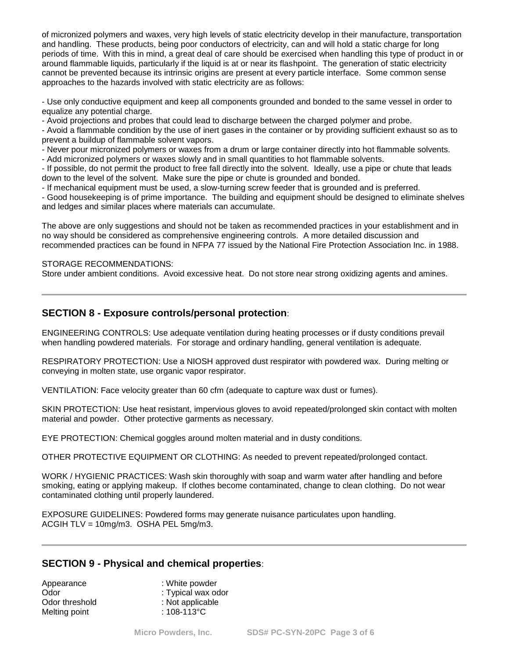of micronized polymers and waxes, very high levels of static electricity develop in their manufacture, transportation and handling. These products, being poor conductors of electricity, can and will hold a static charge for long periods of time. With this in mind, a great deal of care should be exercised when handling this type of product in or around flammable liquids, particularly if the liquid is at or near its flashpoint. The generation of static electricity cannot be prevented because its intrinsic origins are present at every particle interface. Some common sense approaches to the hazards involved with static electricity are as follows:

- Use only conductive equipment and keep all components grounded and bonded to the same vessel in order to equalize any potential charge.

- Avoid projections and probes that could lead to discharge between the charged polymer and probe.

- Avoid a flammable condition by the use of inert gases in the container or by providing sufficient exhaust so as to prevent a buildup of flammable solvent vapors.

- Never pour micronized polymers or waxes from a drum or large container directly into hot flammable solvents.

- Add micronized polymers or waxes slowly and in small quantities to hot flammable solvents.

- If possible, do not permit the product to free fall directly into the solvent. Ideally, use a pipe or chute that leads down to the level of the solvent. Make sure the pipe or chute is grounded and bonded.

- If mechanical equipment must be used, a slow-turning screw feeder that is grounded and is preferred.

- Good housekeeping is of prime importance. The building and equipment should be designed to eliminate shelves and ledges and similar places where materials can accumulate.

The above are only suggestions and should not be taken as recommended practices in your establishment and in no way should be considered as comprehensive engineering controls. A more detailed discussion and recommended practices can be found in NFPA 77 issued by the National Fire Protection Association Inc. in 1988.

#### STORAGE RECOMMENDATIONS:

Store under ambient conditions. Avoid excessive heat. Do not store near strong oxidizing agents and amines.

### **SECTION 8 - Exposure controls/personal protection**:

ENGINEERING CONTROLS: Use adequate ventilation during heating processes or if dusty conditions prevail when handling powdered materials. For storage and ordinary handling, general ventilation is adequate.

RESPIRATORY PROTECTION: Use a NIOSH approved dust respirator with powdered wax. During melting or conveying in molten state, use organic vapor respirator.

VENTILATION: Face velocity greater than 60 cfm (adequate to capture wax dust or fumes).

SKIN PROTECTION: Use heat resistant, impervious gloves to avoid repeated/prolonged skin contact with molten material and powder. Other protective garments as necessary.

EYE PROTECTION: Chemical goggles around molten material and in dusty conditions.

OTHER PROTECTIVE EQUIPMENT OR CLOTHING: As needed to prevent repeated/prolonged contact.

WORK / HYGIENIC PRACTICES: Wash skin thoroughly with soap and warm water after handling and before smoking, eating or applying makeup. If clothes become contaminated, change to clean clothing. Do not wear contaminated clothing until properly laundered.

EXPOSURE GUIDELINES: Powdered forms may generate nuisance particulates upon handling. ACGIH TLV = 10mg/m3. OSHA PEL 5mg/m3.

### **SECTION 9 - Physical and chemical properties**:

| Appearance     | : White powder     |
|----------------|--------------------|
| Odor           | : Typical wax odor |
| Odor threshold | : Not applicable   |
| Melting point  | : $108-113$ °C     |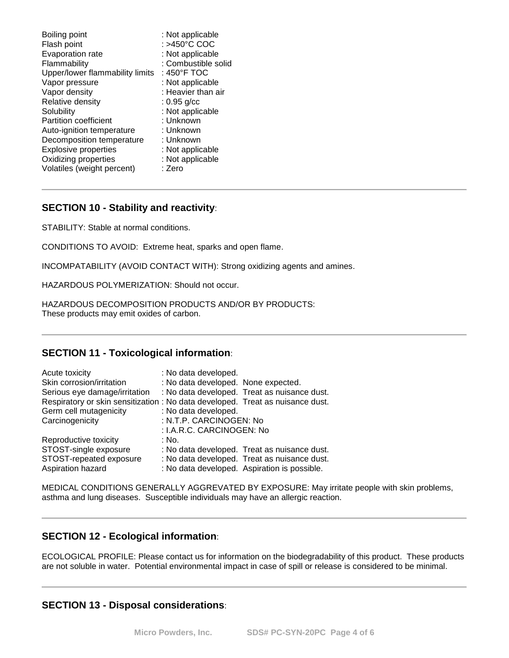| Boiling point                   | : Not applicable    |
|---------------------------------|---------------------|
| Flash point                     | : >450°C COC        |
| Evaporation rate                | : Not applicable    |
| Flammability                    | : Combustible solid |
| Upper/lower flammability limits | : 450°F TOC         |
| Vapor pressure                  | : Not applicable    |
| Vapor density                   | : Heavier than air  |
| Relative density                | $: 0.95$ g/cc       |
| Solubility                      | : Not applicable    |
| <b>Partition coefficient</b>    | : Unknown           |
| Auto-ignition temperature       | : Unknown           |
| Decomposition temperature       | : Unknown           |
| <b>Explosive properties</b>     | : Not applicable    |
| Oxidizing properties            | : Not applicable    |
| Volatiles (weight percent)      | : Zero              |

# **SECTION 10 - Stability and reactivity**:

STABILITY: Stable at normal conditions.

CONDITIONS TO AVOID: Extreme heat, sparks and open flame.

INCOMPATABILITY (AVOID CONTACT WITH): Strong oxidizing agents and amines.

HAZARDOUS POLYMERIZATION: Should not occur.

HAZARDOUS DECOMPOSITION PRODUCTS AND/OR BY PRODUCTS: These products may emit oxides of carbon.

# **SECTION 11 - Toxicological information**:

| Acute toxicity                | : No data developed.                                                           |
|-------------------------------|--------------------------------------------------------------------------------|
| Skin corrosion/irritation     | : No data developed. None expected.                                            |
| Serious eye damage/irritation | : No data developed. Treat as nuisance dust.                                   |
|                               | Respiratory or skin sensitization : No data developed. Treat as nuisance dust. |
| Germ cell mutagenicity        | : No data developed.                                                           |
| Carcinogenicity               | : N.T.P. CARCINOGEN: No                                                        |
|                               | : I.A.R.C. CARCINOGEN: No                                                      |
| Reproductive toxicity         | : No.                                                                          |
| STOST-single exposure         | : No data developed. Treat as nuisance dust.                                   |
| STOST-repeated exposure       | : No data developed. Treat as nuisance dust.                                   |
| Aspiration hazard             | : No data developed. Aspiration is possible.                                   |

MEDICAL CONDITIONS GENERALLY AGGREVATED BY EXPOSURE: May irritate people with skin problems, asthma and lung diseases. Susceptible individuals may have an allergic reaction.

# **SECTION 12 - Ecological information**:

ECOLOGICAL PROFILE: Please contact us for information on the biodegradability of this product. These products are not soluble in water. Potential environmental impact in case of spill or release is considered to be minimal.

# **SECTION 13 - Disposal considerations**: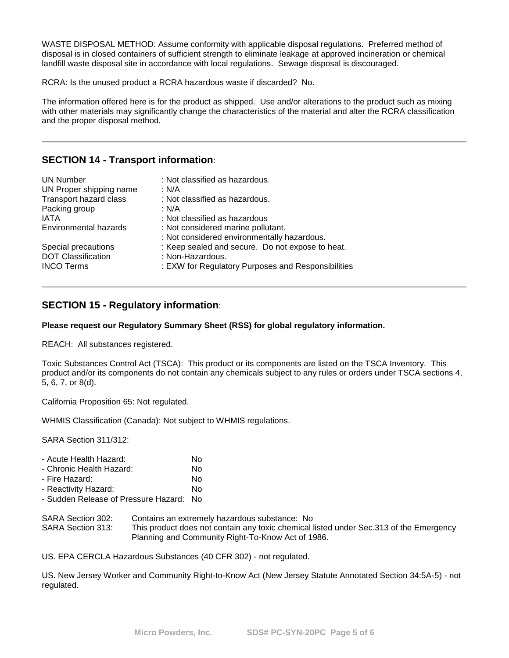WASTE DISPOSAL METHOD: Assume conformity with applicable disposal regulations. Preferred method of disposal is in closed containers of sufficient strength to eliminate leakage at approved incineration or chemical landfill waste disposal site in accordance with local regulations. Sewage disposal is discouraged.

RCRA: Is the unused product a RCRA hazardous waste if discarded? No.

The information offered here is for the product as shipped. Use and/or alterations to the product such as mixing with other materials may significantly change the characteristics of the material and alter the RCRA classification and the proper disposal method.

# **SECTION 14 - Transport information**:

| <b>UN Number</b><br>UN Proper shipping name<br>Transport hazard class<br>Packing group | : Not classified as hazardous.<br>: N/A<br>: Not classified as hazardous.<br>: N/A |
|----------------------------------------------------------------------------------------|------------------------------------------------------------------------------------|
| IATA                                                                                   | : Not classified as hazardous                                                      |
| Environmental hazards                                                                  | : Not considered marine pollutant.<br>: Not considered environmentally hazardous.  |
| Special precautions                                                                    | : Keep sealed and secure. Do not expose to heat.                                   |
| <b>DOT Classification</b>                                                              | : Non-Hazardous.                                                                   |
| <b>INCO Terms</b>                                                                      | : EXW for Regulatory Purposes and Responsibilities                                 |

# **SECTION 15 - Regulatory information**:

#### **Please request our Regulatory Summary Sheet (RSS) for global regulatory information.**

REACH: All substances registered.

Toxic Substances Control Act (TSCA): This product or its components are listed on the TSCA Inventory. This product and/or its components do not contain any chemicals subject to any rules or orders under TSCA sections 4, 5, 6, 7, or 8(d).

California Proposition 65: Not regulated.

WHMIS Classification (Canada): Not subject to WHMIS regulations.

SARA Section 311/312:

| - Acute Health Hazard:               | N٥ |
|--------------------------------------|----|
| - Chronic Health Hazard:             | No |
| - Fire Hazard:                       | No |
| - Reactivity Hazard:                 | No |
| - Sudden Release of Pressure Hazard: | N٥ |

#### SARA Section 302: Contains an extremely hazardous substance: No SARA Section 313: This product does not contain any toxic chemical listed under Sec.313 of the Emergency Planning and Community Right-To-Know Act of 1986.

US. EPA CERCLA Hazardous Substances (40 CFR 302) - not regulated.

US. New Jersey Worker and Community Right-to-Know Act (New Jersey Statute Annotated Section 34:5A-5) - not regulated.